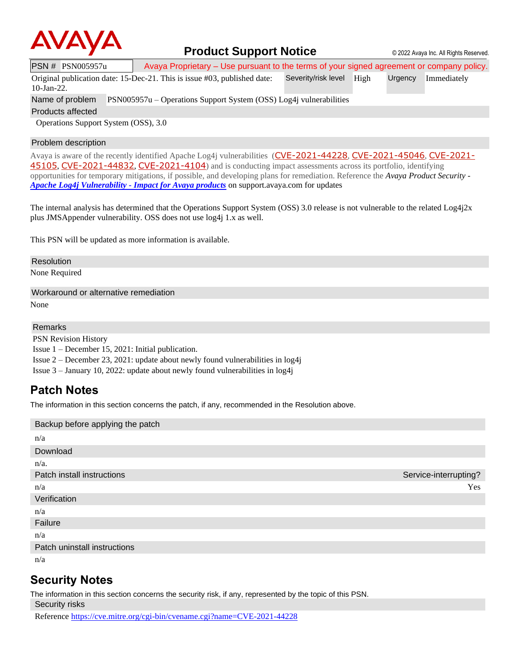

### **Product Support Notice**  $\circ$  2022 Avaya Inc. All Rights Reserved.

PSN # PSN005957u Avaya Proprietary – Use pursuant to the terms of your signed agreement or company policy.

Original publication date: 15-Dec-21. This is issue #03, published date: Severity/risk level High Urgency Immediately

10-Jan-22.

Name of problem PSN005957u – Operations Support System (OSS) Log4j vulnerabilities

Products affected

Operations Support System (OSS), 3.0

#### Problem description

Avaya is aware of the recently identified Apache Log4j vulnerabilities ([CVE-2021-44228](https://cve.mitre.org/cgi-bin/cvename.cgi?name=CVE-2021-44228), [CVE-2021-45046](https://cve.mitre.org/cgi-bin/cvename.cgi?name=CVE-2021-45046), [CVE-2021-](https://cve.mitre.org/cgi-bin/cvename.cgi?name=CVE-2021-45105) [45105](https://cve.mitre.org/cgi-bin/cvename.cgi?name=CVE-2021-45105), [CVE-2021-44832](https://cve.mitre.org/cgi-bin/cvename.cgi?name=CVE-2021-44832), [CVE-2021-4104](https://cve.mitre.org/cgi-bin/cvename.cgi?name=CVE-2021-4104)) and is conducting impact assessments across its portfolio, identifying opportunities for temporary mitigations, if possible, and developing plans for remediation. Reference the *Avaya Product Security - Apache Log4j Vulnerability - [Impact for Avaya products](http://www.avaya.com/emergencyupdate)* on support.avaya.com for updates

The internal analysis has determined that the Operations Support System (OSS) 3.0 release is not vulnerable to the related Log4j2x plus JMSAppender vulnerability. OSS does not use log4j 1.x as well.

This PSN will be updated as more information is available.

#### Resolution

None Required

Workaround or alternative remediation

None

#### Remarks

PSN Revision History Issue 1 – December 15, 2021: Initial publication.

Issue 2 – December 23, 2021: update about newly found vulnerabilities in log4j

Issue 3 – January 10, 2022: update about newly found vulnerabilities in log4j

## **Patch Notes**

The information in this section concerns the patch, if any, recommended in the Resolution above.

| Backup before applying the patch |                       |
|----------------------------------|-----------------------|
| n/a                              |                       |
| Download                         |                       |
| $n/a$ .                          |                       |
| Patch install instructions       | Service-interrupting? |
| n/a                              | Yes                   |
| Verification                     |                       |
| n/a                              |                       |
| Failure                          |                       |
| n/a                              |                       |
| Patch uninstall instructions     |                       |
| n/a                              |                       |

# **Security Notes**

The information in this section concerns the security risk, if any, represented by the topic of this PSN.

Security risks

Reference <https://cve.mitre.org/cgi-bin/cvename.cgi?name=CVE-2021-44228>